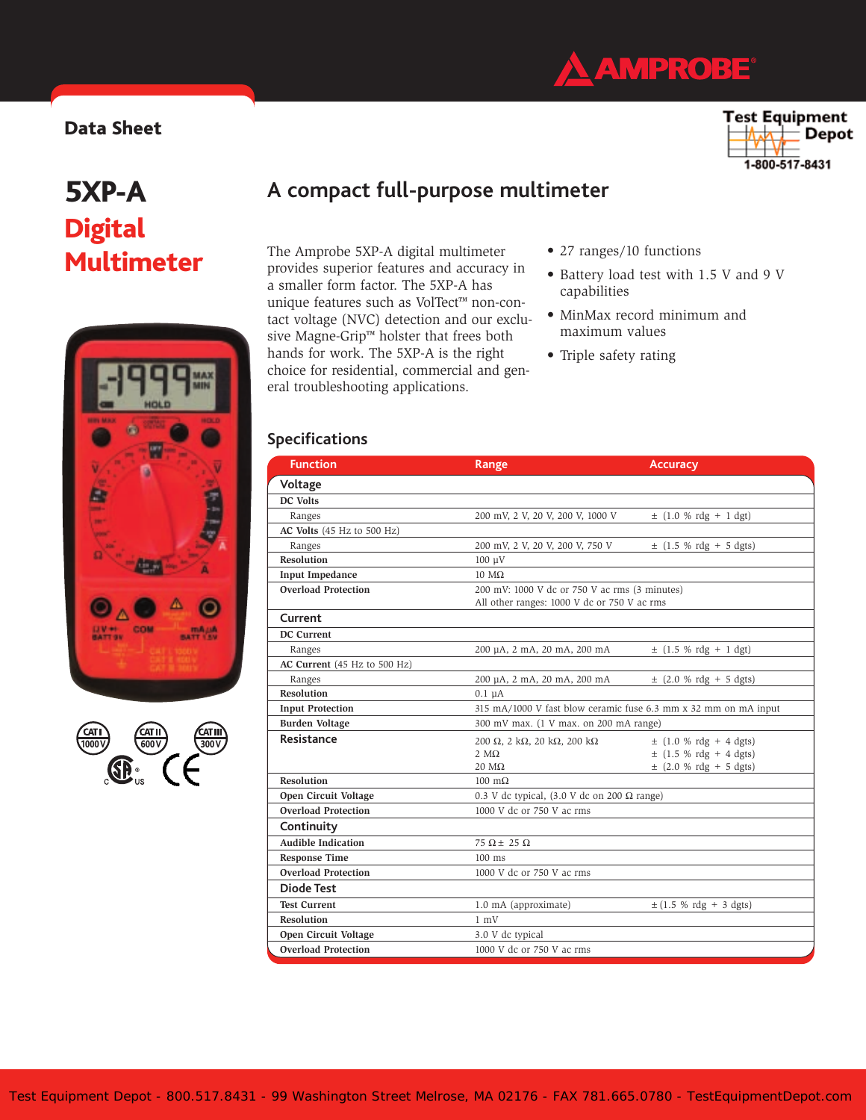

### **Data Sheet**

### Test Equipment Depot 1-800-517-8431

# **5XP-A Digital Multimeter**





# **A compact full-purpose multimeter**

The Amprobe 5XP-A digital multimeter provides superior features and accuracy in a smaller form factor. The 5XP-A has unique features such as VolTect™ non-contact voltage (NVC) detection and our exclusive Magne-Grip™ holster that frees both hands for work. The 5XP-A is the right choice for residential, commercial and general troubleshooting applications.

- 27 ranges/10 functions
- Battery load test with 1.5 V and 9 V capabilities
- MinMax record minimum and maximum values
- Triple safety rating

### **Specifications**

| <b>Function</b>              | Range                                                           | <b>Accuracy</b>            |
|------------------------------|-----------------------------------------------------------------|----------------------------|
| Voltage                      |                                                                 |                            |
| DC Volts                     |                                                                 |                            |
| Ranges                       | 200 mV, 2 V, 20 V, 200 V, 1000 V                                | $\pm$ (1.0 % rdg + 1 dgt)  |
| AC Volts (45 Hz to 500 Hz)   |                                                                 |                            |
| Ranges                       | 200 mV, 2 V, 20 V, 200 V, 750 V                                 | $\pm$ (1.5 % rdg + 5 dgts) |
| <b>Resolution</b>            | $100 \text{ }\mu\text{V}$                                       |                            |
| <b>Input Impedance</b>       | $10 \text{ M}\Omega$                                            |                            |
| <b>Overload Protection</b>   | 200 mV: 1000 V dc or 750 V ac rms (3 minutes)                   |                            |
|                              | All other ranges: 1000 V dc or 750 V ac rms                     |                            |
| Current                      |                                                                 |                            |
| DC Current                   |                                                                 |                            |
| Ranges                       | 200 μA, 2 mA, 20 mA, 200 mA                                     | $\pm$ (1.5 % rdg + 1 dgt)  |
| AC Current (45 Hz to 500 Hz) |                                                                 |                            |
| Ranges                       | 200 μA, 2 mA, 20 mA, 200 mA                                     | $\pm$ (2.0 % rdg + 5 dgts) |
| <b>Resolution</b>            | $0.1 \mu A$                                                     |                            |
| <b>Input Protection</b>      | 315 mA/1000 V fast blow ceramic fuse 6.3 mm x 32 mm on mA input |                            |
| <b>Burden Voltage</b>        | 300 mV max. (1 V max. on 200 mA range)                          |                            |
| Resistance                   | 200 Ω, 2 kΩ, 20 kΩ, 200 kΩ                                      | $\pm$ (1.0 % rdg + 4 dgts) |
|                              | $2 M\Omega$                                                     | $\pm$ (1.5 % rdg + 4 dgts) |
|                              | $20 \text{ M}\Omega$                                            | $\pm$ (2.0 % rdg + 5 dgts) |
| <b>Resolution</b>            | $100 \text{ m}\Omega$                                           |                            |
| Open Circuit Voltage         | 0.3 V dc typical, (3.0 V dc on 200 $\Omega$ range)              |                            |
| <b>Overload Protection</b>   | 1000 V dc or 750 V ac rms                                       |                            |
| Continuity                   |                                                                 |                            |
| <b>Audible Indication</b>    | $75 \Omega \pm 25 \Omega$                                       |                            |
| <b>Response Time</b>         | $100$ ms                                                        |                            |
| <b>Overload Protection</b>   | 1000 V dc or 750 V ac rms                                       |                            |
| <b>Diode Test</b>            |                                                                 |                            |
| <b>Test Current</b>          | 1.0 mA (approximate)                                            | $\pm$ (1.5 % rdg + 3 dgts) |
| <b>Resolution</b>            | $1 \text{ mV}$                                                  |                            |
| Open Circuit Voltage         | 3.0 V dc typical                                                |                            |
| <b>Overload Protection</b>   | 1000 V dc or 750 V ac rms                                       |                            |